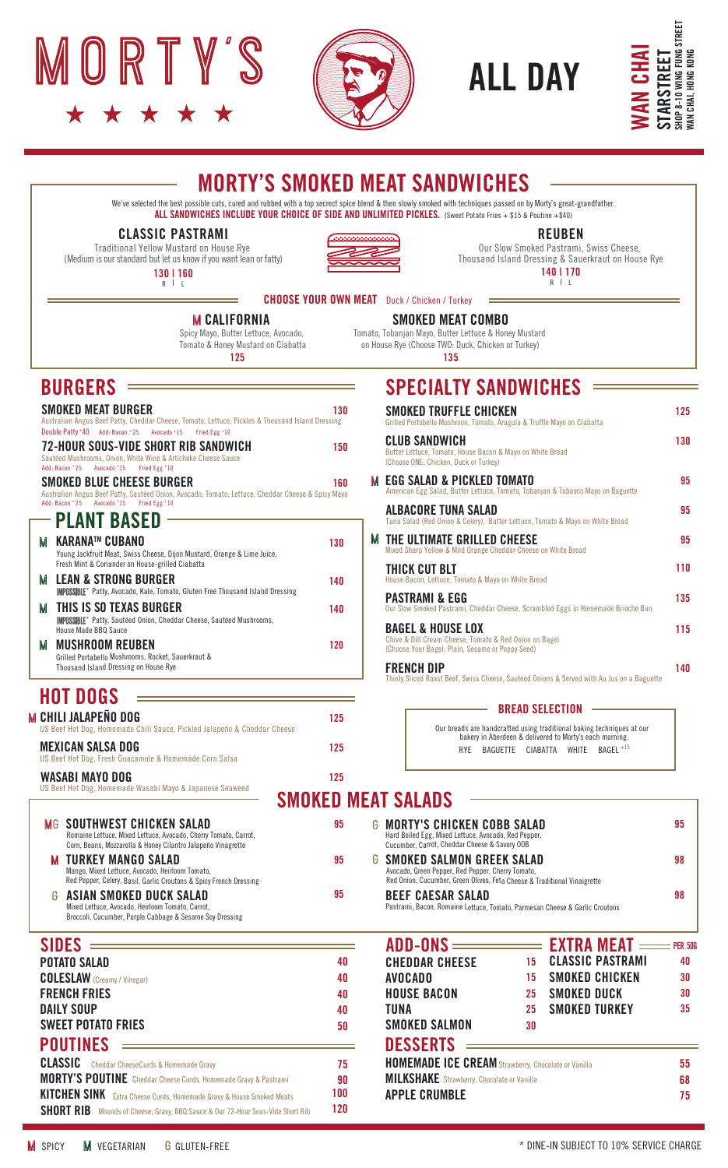





### MORTY'S SMOKED MEAT SANDWICHES

### CLASSIC PASTRAMI



### REUBEN

### R | L 140 | 170

### **CHOOSE YOUR OWN MEAT** Duck / Chicken / Turkey

### **M CALIFORNIA**

### SPECIALTY SANDWICHES

|                                                                                                                                                                                                                            |           | <b>STARSTREET</b><br>SHOP 8-10 WING FUNG ST<br>WAN CHAI, HONG KONG<br><b>CHA</b><br><b>ALL DAY</b>                                                                                                                                                                                                                                                                                                                             | STREET      |
|----------------------------------------------------------------------------------------------------------------------------------------------------------------------------------------------------------------------------|-----------|--------------------------------------------------------------------------------------------------------------------------------------------------------------------------------------------------------------------------------------------------------------------------------------------------------------------------------------------------------------------------------------------------------------------------------|-------------|
|                                                                                                                                                                                                                            |           | <b>MORTY'S SMOKED MEAT SANDWICHES</b>                                                                                                                                                                                                                                                                                                                                                                                          |             |
| <b>CLASSIC PASTRAMI</b><br><b>Traditional Yellow Mustard on House Rye</b><br>(Medium is our standard but let us know if you want lean or fatty)<br>130   160<br>$R \mid L$                                                 |           | We've selected the best possible cuts, cured and rubbed with a top secrect spice blend & then slowly smoked with techniques passed on by Morty's great-grandfather.<br>ALL SANDWICHES INCLUDE YOUR CHOICE OF SIDE AND UNLIMITED PICKLES. (Sweet Potato Fries + \$15 & Poutine +\$40)<br><b>REUBEN</b><br>Our Slow Smoked Pastrami, Swiss Cheese,<br>Thousand Island Dressing & Sauerkraut on House Rye<br>140   170<br>$R$   L |             |
|                                                                                                                                                                                                                            |           | <b>CHOOSE YOUR OWN MEAT</b> Duck / Chicken / Turkey                                                                                                                                                                                                                                                                                                                                                                            |             |
| <b>M CALIFORNIA</b><br>Spicy Mayo, Butter Lettuce, Avocado,<br>Tomato & Honey Mustard on Ciabatta<br>125                                                                                                                   |           | <b>SMOKED MEAT COMBO</b><br>Tomato, Tobanjan Mayo, Butter Lettuce & Honey Mustard<br>on House Rye (Choose TWO: Duck, Chicken or Turkey)<br>135                                                                                                                                                                                                                                                                                 |             |
| <b>BURGERS</b>                                                                                                                                                                                                             |           | <b>SPECIALTY SANDWICHES</b>                                                                                                                                                                                                                                                                                                                                                                                                    |             |
| SMOKED MEAT BURGER<br>Australian Angus Beef Patty, Cheddar Cheese, Tomato, Lettuce, Pickles & Thousand Island Dressing                                                                                                     | 130       | <b>SMOKED TRUFFLE CHICKEN</b><br>Grilled Portobello Mushroon, Tomato, Arugula & Truffle Mayo on Ciabatta                                                                                                                                                                                                                                                                                                                       | 125         |
| Double Patty +40 Add: Bacon + 25 Avocado + 15 Fried Egg + 10<br>72-HOUR SOUS-VIDE SHORT RIB SANDWICH<br>Sautéed Mushrooms, Onion, White Wine & Artichoke Cheese Sauce<br>Add: Bacon * 25    Avocado * 15    Fried Egg * 10 | 150       | CLUB SANDWICH<br>Butter Lettuce, Tomato, House Bacon & Mayo on White Bread<br>(Choose ONE: Chicken, Duck or Turkey)                                                                                                                                                                                                                                                                                                            | 130         |
| SMOKED BLUE CHEESE BURGER<br>Australian Angus Beef Patty, Sautéed Onion, Avocado, Tomato, Lettuce, Cheddar Cheese & Spicy Mayo                                                                                             | 160       | <b>EGG SALAD &amp; PICKLED TOMATO</b><br>American Egg Salad, Butter Lettuce, Tomato, Tobanjan & Tobasco Mayo on Baguette                                                                                                                                                                                                                                                                                                       | 95          |
| Add: Bacon * 25    Avocado * 15    Fried Egg * 10<br>– Plant Based                                                                                                                                                         |           | <b>ALBACORE TUNA SALAD</b><br>Tuna Salad (Red Onion & Celery), Butter Lettuce, Tomato & Mayo on White Bread                                                                                                                                                                                                                                                                                                                    | 95          |
| M KARANA™ CUBANO<br>Young Jackfruit Meat, Swiss Cheese, Dijon Mustard, Orange & Lime Juice,                                                                                                                                | 130       | THE ULTIMATE GRILLED CHEESE<br>Mixed Sharp Yellow & Mild Orange Cheddar Cheese on White Bread                                                                                                                                                                                                                                                                                                                                  | 95          |
| Fresh Mint & Coriander on House-grilled Ciabatta<br>M   LEAN & STRONG BURGER                                                                                                                                               | 140       | THICK CUT BLT<br>House Bacon, Lettuce, Tomato & Mayo on White Bread                                                                                                                                                                                                                                                                                                                                                            | 110         |
| <b>IMPOSSIBLE</b> " Patty, Avocado, Kale, Tomato, Gluten Free Thousand Island Dressing<br>M   THIS IS SO TEXAS BURGER                                                                                                      | 140       | <b>PASTRAMI &amp; EGG</b><br>Our Slow Smoked Pastrami, Cheddar Cheese, Scrambled Eggs in Homemade Brioche Bun                                                                                                                                                                                                                                                                                                                  | 135         |
| <b>IMPOSSIBLE</b> " Patty, Sautéed Onion, Cheddar Cheese, Sautéed Mushrooms,<br>House Made BBQ Sauce<br><b>MUSHROOM REUBEN</b>                                                                                             | 120       | <b>BAGEL &amp; HOUSE LOX</b><br>Chive & Dill Cream Cheese, Tomato & Red Onion on Bagel<br>(Choose Your Bagel: Plain, Sesame or Poppy Seed)                                                                                                                                                                                                                                                                                     | 115         |
| Grilled Portabello Mushrooms, Rocket, Sauerkraut &<br>Thousand Island Dressing on House Rye                                                                                                                                |           | <b>FRENCH DIP</b><br>Thinly Sliced Roast Beef, Swiss Cheese, Sauteed Onions & Served with Au Jus on a Baguette                                                                                                                                                                                                                                                                                                                 | 140         |
| HOT DOGS                                                                                                                                                                                                                   |           | <b>BREAD SELECTION</b>                                                                                                                                                                                                                                                                                                                                                                                                         |             |
| CHILI JALAPEÑO DOG<br>JS Beef Hot Dog, Homemade Chili Sauce, Pickled Jalapeño & Cheddar Cheese                                                                                                                             | 125       | Our breads are handcrafted using traditional baking techniques at our bakery in Aberdeen & delivered to Morty's each morning.                                                                                                                                                                                                                                                                                                  |             |
| MEXICAN SALSA DOG<br>JS Beef Hot Dog, Fresh Guacamole & Homemade Corn Salsa                                                                                                                                                | 125       | RYE BAGUETTE CIABATTA WHITE BAGEL <sup>+15</sup>                                                                                                                                                                                                                                                                                                                                                                               |             |
| WASABI MAYO DOG<br>JS Beef Hot Dog, Homemade Wasabi Mayo & Japanese Seaweed                                                                                                                                                | 125       |                                                                                                                                                                                                                                                                                                                                                                                                                                |             |
| <b>MG SOUTHWEST CHICKEN SALAD</b>                                                                                                                                                                                          | 95        | <b>SMOKED MEAT SALADS</b><br>MORTY'S CHICKEN COBB SALAD                                                                                                                                                                                                                                                                                                                                                                        | 95          |
| Romaine Lettuce, Mixed Lettuce, Avocado, Cherry Tomato, Carrot,<br>Corn, Beans, Mozzarella & Honey Cilantro Jalapeño Vinagrette                                                                                            |           | Hard Boiled Egg, Mixed Lettuce, Avocado, Red Pepper,<br>Cucumber, Carrot, Cheddar Cheese & Savory OOB                                                                                                                                                                                                                                                                                                                          |             |
| TURKEY MANGO SALAD<br>Mango, Mixed Lettuce, Avocado, Heirloom Tomato,<br>Red Pepper, Celery, Basil, Garlic Croutons & Spicy French Dressing                                                                                | 95        | SMOKED SALMON GREEK SALAD<br>Avocado, Green Pepper, Red Pepper, Cherry Tomato,<br>Red Onion, Cucumber, Green Olives, Feta Cheese & Traditional Vinaigrette                                                                                                                                                                                                                                                                     | 98          |
| ASIAN SMOKED DUCK SALAD<br>6<br>Mixed Lettuce, Avocado, Heirloom Tomato, Carrot,<br>Broccoli, Cucumber, Purple Cabbage & Sesame Soy Dressing                                                                               | 95        | <b>BEEF CAESAR SALAD</b><br>Pastrami, Bacon, Romaine Lettuce, Tomato, Parmesan Cheese & Garlic Croutons                                                                                                                                                                                                                                                                                                                        | 98          |
| SIDES                                                                                                                                                                                                                      |           | $ADD-ONS$ $=$<br><b>EXTRA MEAT =</b>                                                                                                                                                                                                                                                                                                                                                                                           | $=$ PER 50G |
| POTATO SALAD                                                                                                                                                                                                               | 40        | <b>CLASSIC PASTRAMI</b><br><b>CHEDDAR CHEESE</b><br>15<br><b>SMOKED CHICKEN</b><br>15                                                                                                                                                                                                                                                                                                                                          | 40<br>30    |
| <b>COLESLAW</b> (Creamy / Vinegar)<br>FRENCH FRIES                                                                                                                                                                         | 40<br>40  | <b>AVOCADO</b><br><b>HOUSE BACON</b><br>SMOKED DUCK<br>25                                                                                                                                                                                                                                                                                                                                                                      | 30          |
| DAILY SOUP                                                                                                                                                                                                                 | 40        | <b>SMOKED TURKEY</b><br>TUNA<br>25                                                                                                                                                                                                                                                                                                                                                                                             | 35          |
| Sweet Potato Fries<br>POUTINES                                                                                                                                                                                             | 50        | <b>SMOKED SALMON</b><br>30<br><b>DESSERTS</b>                                                                                                                                                                                                                                                                                                                                                                                  |             |
|                                                                                                                                                                                                                            |           |                                                                                                                                                                                                                                                                                                                                                                                                                                |             |
|                                                                                                                                                                                                                            | 75        | <b>HOMEMADE ICE CREAM</b> Strawberry, Chocolate or Vanilla                                                                                                                                                                                                                                                                                                                                                                     | 55          |
| <b>CLASSIC</b> Cheddar CheeseCurds & Homemade Gravy<br><b>MORTY'S POUTINE</b> Cheddar Cheese Curds, Homemade Gravy & Pastrami<br>KITCHEN SINK Extra Cheese Curds, Homemade Gravy & House Smoked Meats                      | 90<br>100 | <b>MILKSHAKE</b> Strawberry, Chocolate or Vanilla<br><b>APPLE CRUMBLE</b>                                                                                                                                                                                                                                                                                                                                                      | 68          |

### BREAD SELECTION

### SMOKED MEAT SALADS

| 40<br>40 |   | <b>CLASSIC PASTRAMI</b><br><b>CHEDDAR CHEESE</b><br>15<br>SMOKED CHICKEN<br>AVNCANN<br>15                                                                     | 40<br>30 |
|----------|---|---------------------------------------------------------------------------------------------------------------------------------------------------------------|----------|
|          |   |                                                                                                                                                               |          |
| 95       |   | <b>BEEF CAESAR SALAD</b><br>Pastrami, Bacon, Romaine Lettuce, Tomato, Parmesan Cheese & Garlic Croutons                                                       | 98       |
| 95       |   | G  SMOKED SALMON GREEK SALAD<br>Avocado, Green Pepper, Red Pepper, Cherry Tomato,<br>Red Onion, Cucumber, Green Olives, Feta Cheese & Traditional Vinaigrette | 98       |
| 95       | G | <b>MORTY'S CHICKEN COBB SALAD</b><br>Hard Boiled Egg, Mixed Lettuce, Avocado, Red Pepper,<br>Cucumber, Carrot, Cheddar Cheese & Savory OOB                    | 95       |
|          |   |                                                                                                                                                               |          |

| <b>SIDES</b>                                                                          |     |
|---------------------------------------------------------------------------------------|-----|
| <b>POTATO SALAD</b>                                                                   | 40  |
| <b>COLESLAW</b> (Creamy / Vinegar)                                                    | 40  |
| <b>FRENCH FRIES</b>                                                                   | 40  |
| DAILY SOUP                                                                            | 40  |
| <b>SWEET POTATO FRIES</b>                                                             | 50  |
| <b>POUTINES</b>                                                                       |     |
| <b>CLASSIC</b> Cheddar CheeseCurds & Homemade Gravy                                   | 75  |
| <b>MORTY'S POUTINE</b> Cheddar Cheese Curds, Homemade Gravy & Pastrami                | 90  |
| KITCHEN SINK Extra Cheese Curds, Homemade Gravy & House Smoked Meats                  | 100 |
| <b>SHORT RIB</b> Mounds of Cheese, Gravy, BBQ Sauce & Our 72-Hour Sous-Vide Short Rib | 120 |

# SHORT RIB Mounds of Cheese, Gravy, BBQ Sauce & Our 72-Hour Sous-Vide Short Rib

CHILI JALAPEÑO DOG